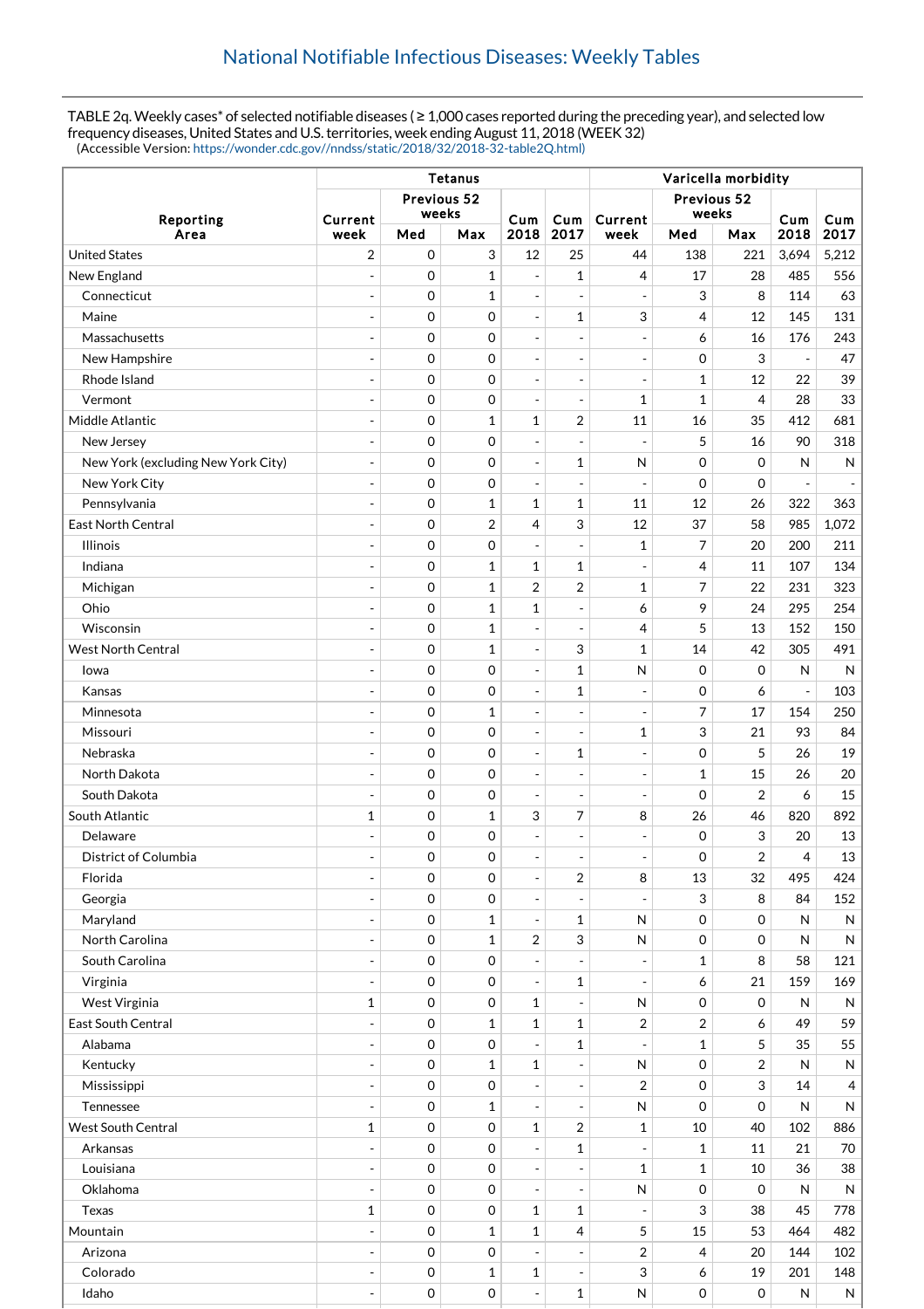TABLE 2q. Weekly cases\* of selected notifiable diseases ( $\geq 1,000$  cases reported during the preceding year), and selected low frequency diseases, United States and U.S. territories, week ending August 11, 2018 (WEEK 32) (Accessible Version: [https://wonder.cdc.gov//nndss/static/2018/32/2018-32-table2Q.html\)](https://wonder.cdc.gov//nndss/static/2018/32/2018-32-table2Q.html)

|                                    | Tetanus                      |                     |                      |                          |                              | Varicella morbidity      |                      |                         |              |                          |
|------------------------------------|------------------------------|---------------------|----------------------|--------------------------|------------------------------|--------------------------|----------------------|-------------------------|--------------|--------------------------|
| Reporting<br>Area                  |                              |                     | Previous 52<br>weeks |                          |                              |                          | Previous 52<br>weeks |                         | Cum          |                          |
|                                    | Current<br>week              | Med                 | Max                  | Cum<br>2018              | Cum<br>2017                  | Current<br>week          | Med                  | Max                     | 2018         | Cum<br>2017              |
| <b>United States</b>               | $\overline{2}$               | 0                   | 3                    | 12                       | 25                           | 44                       | 138                  | 221                     | 3,694        | 5,212                    |
| New England                        | ÷,                           | $\mathbf 0$         | 1                    | $\overline{a}$           | $\mathbf{1}$                 | 4                        | 17                   | 28                      | 485          | 556                      |
| Connecticut                        |                              | 0                   | 1                    | $\overline{\phantom{a}}$ | $\overline{\phantom{a}}$     | $\overline{\phantom{a}}$ | 3                    | 8                       | 114          | 63                       |
| Maine                              |                              | 0                   | 0                    | $\overline{\phantom{a}}$ | $\mathbf{1}$                 | 3                        | 4                    | 12                      | 145          | 131                      |
| Massachusetts                      | $\overline{a}$               | 0                   | 0                    | $\overline{\phantom{a}}$ | $\overline{\phantom{a}}$     | $\overline{\phantom{a}}$ | 6                    | 16                      | 176          | 243                      |
| New Hampshire                      | ÷,                           | 0                   | 0                    | $\overline{\phantom{a}}$ | $\qquad \qquad \blacksquare$ | $\overline{\phantom{a}}$ | 0                    | 3                       |              | 47                       |
| Rhode Island                       |                              | 0                   | 0                    | $\overline{\phantom{a}}$ | $\overline{a}$               | $\overline{\phantom{a}}$ | $\mathbf{1}$         | 12                      | 22           | 39                       |
| Vermont                            | ÷,                           | 0                   | 0                    | $\overline{\phantom{a}}$ | $\overline{\phantom{a}}$     | 1                        | $\mathbf{1}$         | $\overline{4}$          | 28           | 33                       |
| Middle Atlantic                    | $\overline{a}$               | 0                   | $\mathbf{1}$         | $\mathbf{1}$             | 2                            | 11                       | 16                   | 35                      | 412          | 681                      |
| New Jersey                         | $\overline{\phantom{a}}$     | $\mathbf 0$         | 0                    | $\qquad \qquad -$        | $\overline{\phantom{0}}$     | $\overline{\phantom{a}}$ | 5                    | 16                      | 90           | 318                      |
| New York (excluding New York City) | $\overline{a}$               | 0                   | 0                    | $\blacksquare$           | 1                            | N                        | $\mathbf 0$          | $\Omega$                | N            | ${\sf N}$                |
| New York City                      | $\overline{\phantom{a}}$     | $\mathbf 0$         | 0                    | $\overline{\phantom{a}}$ | $\overline{\phantom{a}}$     | $\overline{\phantom{a}}$ | $\mathbf 0$          | $\mathbf 0$             |              | $\overline{\phantom{a}}$ |
| Pennsylvania                       | $\overline{a}$               | $\mathbf 0$         | $\mathbf{1}$         | $\mathbf{1}$             | $\mathbf{1}$                 | 11                       | 12                   | 26                      | 322          | 363                      |
| <b>East North Central</b>          | ÷,                           | 0                   | 2                    | 4                        | 3                            | 12                       | 37                   | 58                      | 985          | 1,072                    |
| <b>Illinois</b>                    | $\overline{a}$               | 0                   | 0                    | $\blacksquare$           | $\frac{1}{2}$                | 1                        | 7                    | 20                      | 200          | 211                      |
| Indiana                            |                              | 0                   | 1                    | $\mathbf{1}$             | $\mathbf{1}$                 | $\overline{\phantom{a}}$ | 4                    | 11                      | 107          | 134                      |
| Michigan                           |                              | $\mathbf 0$         | $\mathbf{1}$         | $\overline{2}$           | $\overline{2}$               | 1                        | 7                    | 22                      | 231          | 323                      |
| Ohio                               | $\overline{a}$               | 0                   | $\mathbf 1$          | $\mathbf 1$              | $\overline{a}$               | 6                        | 9                    | 24                      | 295          | 254                      |
| Wisconsin                          | ÷,                           | $\mathbf 0$         | $\mathbf{1}$         | $\overline{\phantom{a}}$ | $\qquad \qquad \blacksquare$ | 4                        | 5                    | 13                      | 152          | 150                      |
| <b>West North Central</b>          | $\sim$                       | 0                   | 1                    | $\overline{\phantom{a}}$ | 3                            | 1                        | 14                   | 42                      | 305          | 491                      |
| lowa                               | $\overline{a}$               | $\mathbf 0$         | 0                    | $\blacksquare$           | $\mathbf{1}$                 | $\mathsf{N}$             | 0                    | $\mathbf 0$             | N            | $\mathsf{N}$             |
| Kansas                             | $\overline{a}$               | 0                   | 0                    | $\blacksquare$           | $\mathbf{1}$                 | $\overline{\phantom{a}}$ | 0                    | 6                       |              | 103                      |
| Minnesota                          | ÷,                           | $\mathbf 0$         | 1                    | $\overline{\phantom{a}}$ | -                            | $\overline{\phantom{a}}$ | 7                    | 17                      | 154          | 250                      |
| Missouri                           | $\overline{a}$               | 0                   | 0                    | $\blacksquare$           | $\overline{a}$               | 1                        | 3                    | 21                      | 93           | 84                       |
| Nebraska                           | $\qquad \qquad \blacksquare$ | $\mathbf 0$         | 0                    | $\overline{\phantom{a}}$ | 1                            | $\overline{\phantom{a}}$ | 0                    | 5                       | 26           | 19                       |
| North Dakota                       |                              | 0                   | 0                    | $\overline{\phantom{a}}$ | $\overline{a}$               | $\overline{\phantom{a}}$ | $\mathbf{1}$         | 15                      | 26           | 20                       |
| South Dakota                       | $\overline{a}$               | 0                   | 0                    | $\overline{\phantom{a}}$ | $\overline{\phantom{a}}$     | $\overline{\phantom{a}}$ | 0                    | $\overline{2}$          | 6            | 15                       |
| South Atlantic                     | $\mathbf{1}$                 | 0                   | $\mathbf{1}$         | 3                        | 7                            | 8                        | 26                   | 46                      | 820          | 892                      |
| Delaware                           |                              | 0                   | 0                    | $\overline{\phantom{a}}$ | $\overline{a}$               | $\overline{\phantom{a}}$ | 0                    | 3                       | 20           | 13                       |
| District of Columbia               | ÷,                           | $\mathbf 0$         | 0                    | $\overline{\phantom{a}}$ | ÷,                           | $\overline{\phantom{a}}$ | $\mathbf 0$          | $\overline{2}$          | 4            | 13                       |
| Florida                            | $\overline{a}$               | 0                   | 0                    | $\overline{\phantom{a}}$ | 2                            | 8                        | 13                   | 32                      | 495          | 424                      |
| Georgia                            | $\blacksquare$               | $\mathbf 0$         | 0                    | $\overline{\phantom{a}}$ | $\frac{1}{2}$                | $\overline{\phantom{a}}$ | 3                    | 8                       | 84           | 152                      |
| Maryland                           | $\overline{a}$               | $\mathbf 0$         | 1                    | $\overline{\phantom{a}}$ | $\mathbf{1}$                 | N                        | $\mathbf 0$          | 0                       | N            | N                        |
| North Carolina                     | $\overline{a}$               | 0                   | $\mathbf 1$          | 2                        | 3                            | N                        | 0                    | $\mathbf 0$             | $\mathsf{N}$ | ${\sf N}$                |
| South Carolina                     | $\overline{a}$               | $\mathsf{O}\xspace$ | 0                    | $\blacksquare$           | $\frac{1}{2}$                | $\overline{\phantom{a}}$ | $\mathbf{1}$         | 8                       | 58           | 121                      |
| Virginia                           | $\overline{\phantom{a}}$     | $\mathbf 0$         | 0                    | $\overline{\phantom{a}}$ | $\mathbf 1$                  | $\overline{\phantom{a}}$ | 6                    | 21                      | 159          | 169                      |
| West Virginia                      | $\mathbf{1}$                 | $\mathsf{O}\xspace$ | 0                    | $\mathbf{1}$             | $\frac{1}{2}$                | N                        | 0                    | $\mathbf 0$             | N            | ${\sf N}$                |
| East South Central                 | $\overline{\phantom{a}}$     | $\mathsf{O}\xspace$ | $\mathbf{1}$         | $\mathbf{1}$             | $\mathbf{1}$                 | 2                        | 2                    | 6                       | 49           | 59                       |
| Alabama                            | $\overline{a}$               | $\mathsf{O}\xspace$ | 0                    | $\overline{\phantom{a}}$ | $\mathbf{1}$                 | $\blacksquare$           | $\mathbf{1}$         | 5                       | 35           | 55                       |
| Kentucky                           | $\overline{a}$               | 0                   | $\mathbf 1$          | $\mathbf{1}$             | $\overline{a}$               | N                        | $\mathsf{O}\xspace$  | $\overline{\mathbf{c}}$ | $\mathsf{N}$ | N                        |
| Mississippi                        | $\overline{\phantom{a}}$     | $\mathbf 0$         | 0                    | $\overline{\phantom{a}}$ | $\frac{1}{2}$                | $\overline{2}$           | $\mathbf 0$          | 3                       | 14           | 4                        |
| Tennessee                          | $\overline{a}$               | $\mathbf 0$         | 1                    | $\blacksquare$           | $\frac{1}{2}$                | N                        | 0                    | $\mathbf 0$             | ${\sf N}$    | N                        |
| <b>West South Central</b>          | $\mathbf{1}$                 | 0                   | 0                    | $\mathbf 1$              | 2                            | 1                        | 10                   | 40                      | 102          | 886                      |
| Arkansas                           | $\overline{a}$               | $\mathsf{O}\xspace$ | 0                    | $\overline{\phantom{a}}$ | $\mathbf 1$                  | $\overline{\phantom{a}}$ | $\mathbf{1}$         | 11                      | 21           | $70\,$                   |
| Louisiana                          | $\blacksquare$               | 0                   | 0                    | $\overline{\phantom{a}}$ | $\overline{\phantom{a}}$     | $\mathbf 1$              | $\mathbf{1}$         | 10                      | 36           | 38                       |
| Oklahoma                           | $\overline{a}$               | $\mathbf 0$         | 0                    | $\overline{\phantom{a}}$ | $\frac{1}{2}$                | N                        | 0                    | $\mathbf 0$             | $\mathsf{N}$ | ${\sf N}$                |
| <b>Texas</b>                       | $\mathbf{1}$                 | $\mathbf 0$         | 0                    | $\mathbf 1$              | $\mathbf{1}$                 | $\overline{\phantom{a}}$ | 3                    | 38                      | 45           | 778                      |
| Mountain                           | ÷,                           | $\mathsf{O}\xspace$ | $\mathbf{1}$         | $\mathbf{1}$             | 4                            | 5                        | 15                   | 53                      | 464          | 482                      |
| Arizona                            | $\overline{a}$               | $\mathbf 0$         | 0                    | $\overline{\phantom{a}}$ | $\overline{\phantom{a}}$     | 2                        | 4                    | 20                      | 144          | 102                      |
| Colorado                           | $\overline{a}$               | $\mathbf 0$         | $\mathbf{1}$         | $\mathbf{1}$             | $\frac{1}{2}$                | 3                        | 6                    | 19                      | 201          | 148                      |
| Idaho                              | $\overline{\phantom{0}}$     | 0                   | 0                    | $\overline{\phantom{a}}$ | $\mathbf{1}$                 | ${\sf N}$                | $\mathsf{O}\xspace$  | $\mathsf{O}\xspace$     | N            | N                        |
|                                    |                              |                     |                      |                          |                              |                          |                      |                         |              |                          |